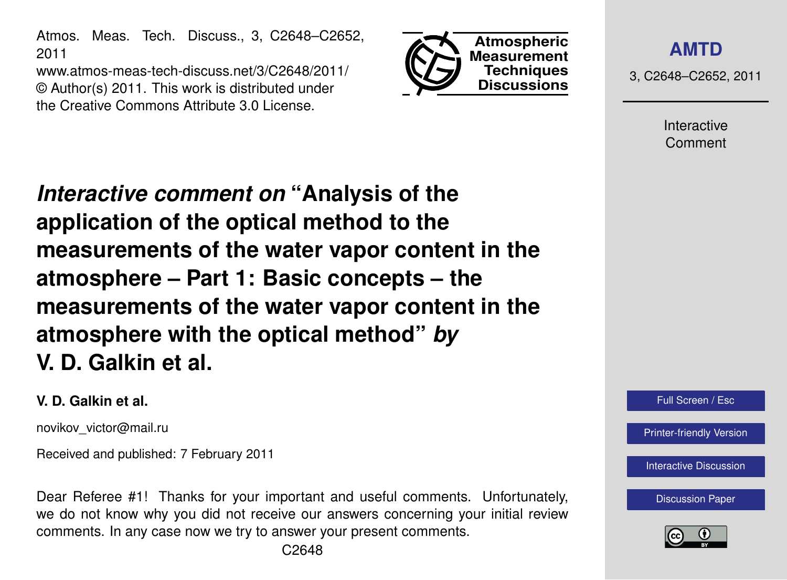Atmos. Meas. Tech. Discuss., 3, C2648–C2652, 2011

www.atmos-meas-tech-discuss.net/3/C2648/2011/ © Author(s) 2011. This work is distributed under the Creative Commons Attribute 3.0 License.



**[AMTD](http://www.atmos-meas-tech-discuss.net)**

3, C2648–C2652, 2011

Interactive Comment

*Interactive comment on* **"Analysis of the application of the optical method to the measurements of the water vapor content in the atmosphere – Part 1: Basic concepts – the measurements of the water vapor content in the atmosphere with the optical method"** *by* **V. D. Galkin et al.**

## **V. D. Galkin et al.**

novikov\_victor@mail.ru

Received and published: 7 February 2011

Dear Referee #1! Thanks for your important and useful comments. Unfortunately, we do not know why you did not receive our answers concerning your initial review comments. In any case now we try to answer your present comments.



[Printer-friendly Version](http://www.atmos-meas-tech-discuss.net/3/C2648/2011/amtd-3-C2648-2011-print.pdf)

[Interactive Discussion](http://www.atmos-meas-tech-discuss.net/3/5705/2010/amtd-3-5705-2010-discussion.html)

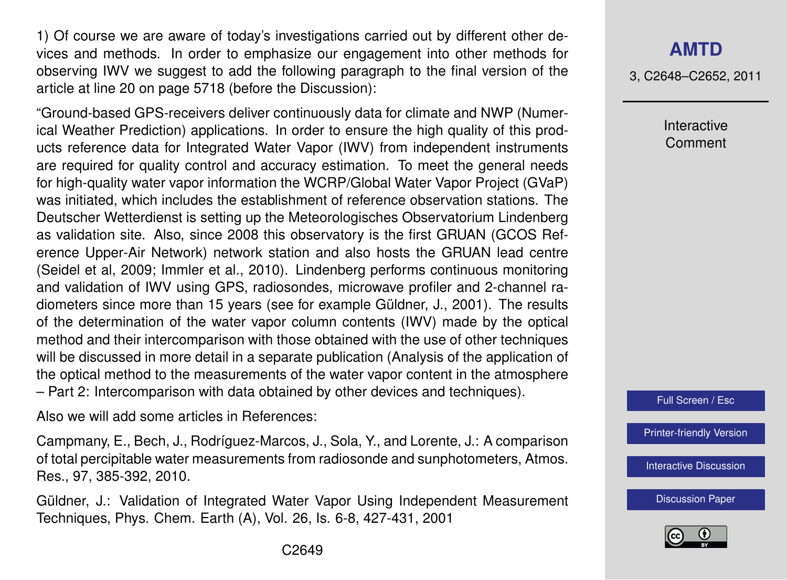1) Of course we are aware of today's investigations carried out by different other devices and methods. In order to emphasize our engagement into other methods for observing IWV we suggest to add the following paragraph to the final version of the article at line 20 on page 5718 (before the Discussion):

"Ground-based GPS-receivers deliver continuously data for climate and NWP (Numerical Weather Prediction) applications. In order to ensure the high quality of this products reference data for Integrated Water Vapor (IWV) from independent instruments are required for quality control and accuracy estimation. To meet the general needs for high-quality water vapor information the WCRP/Global Water Vapor Project (GVaP) was initiated, which includes the establishment of reference observation stations. The Deutscher Wetterdienst is setting up the Meteorologisches Observatorium Lindenberg as validation site. Also, since 2008 this observatory is the first GRUAN (GCOS Reference Upper-Air Network) network station and also hosts the GRUAN lead centre (Seidel et al, 2009; Immler et al., 2010). Lindenberg performs continuous monitoring and validation of IWV using GPS, radiosondes, microwave profiler and 2-channel radiometers since more than 15 years (see for example Güldner, J., 2001). The results of the determination of the water vapor column contents (IWV) made by the optical method and their intercomparison with those obtained with the use of other techniques will be discussed in more detail in a separate publication (Analysis of the application of the optical method to the measurements of the water vapor content in the atmosphere – Part 2: Intercomparison with data obtained by other devices and techniques).

Also we will add some articles in References:

Campmany, E., Bech, J., Rodríguez-Marcos, J., Sola, Y., and Lorente, J.: A comparison of total percipitable water measurements from radiosonde and sunphotometers, Atmos. Res., 97, 385-392, 2010.

Güldner, J.: Validation of Integrated Water Vapor Using Independent Measurement Techniques, Phys. Chem. Earth (A), Vol. 26, Is. 6-8, 427-431, 2001

## **[AMTD](http://www.atmos-meas-tech-discuss.net)**

3, C2648–C2652, 2011

Interactive Comment



[Printer-friendly Version](http://www.atmos-meas-tech-discuss.net/3/C2648/2011/amtd-3-C2648-2011-print.pdf)

[Interactive Discussion](http://www.atmos-meas-tech-discuss.net/3/5705/2010/amtd-3-5705-2010-discussion.html)

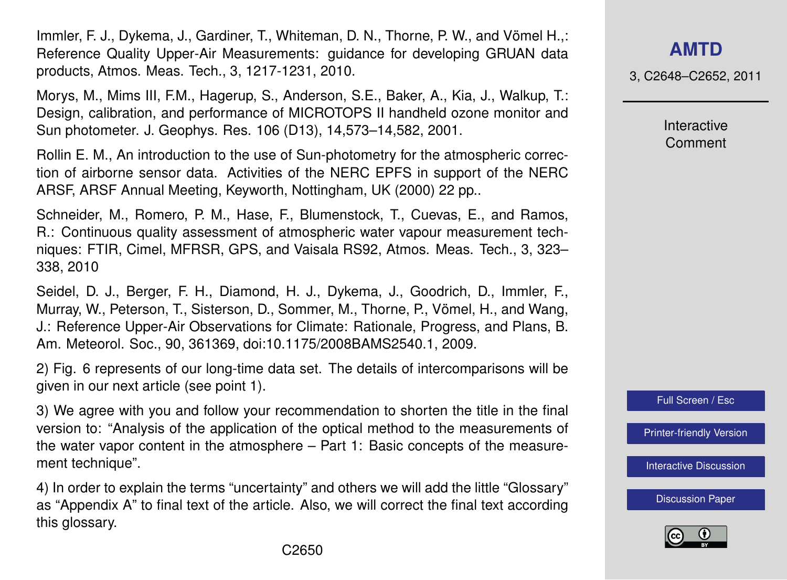Immler, F. J., Dykema, J., Gardiner, T., Whiteman, D. N., Thorne, P. W., and Vömel H.,: Reference Quality Upper-Air Measurements: guidance for developing GRUAN data products, Atmos. Meas. Tech., 3, 1217-1231, 2010.

Morys, M., Mims III, F.M., Hagerup, S., Anderson, S.E., Baker, A., Kia, J., Walkup, T.: Design, calibration, and performance of MICROTOPS II handheld ozone monitor and Sun photometer. J. Geophys. Res. 106 (D13), 14,573–14,582, 2001.

Rollin E. M., An introduction to the use of Sun-photometry for the atmospheric correction of airborne sensor data. Activities of the NERC EPFS in support of the NERC ARSF, ARSF Annual Meeting, Keyworth, Nottingham, UK (2000) 22 pp..

Schneider, M., Romero, P. M., Hase, F., Blumenstock, T., Cuevas, E., and Ramos, R.: Continuous quality assessment of atmospheric water vapour measurement techniques: FTIR, Cimel, MFRSR, GPS, and Vaisala RS92, Atmos. Meas. Tech., 3, 323– 338, 2010

Seidel, D. J., Berger, F. H., Diamond, H. J., Dykema, J., Goodrich, D., Immler, F., Murray, W., Peterson, T., Sisterson, D., Sommer, M., Thorne, P., Vömel, H., and Wang, J.: Reference Upper-Air Observations for Climate: Rationale, Progress, and Plans, B. Am. Meteorol. Soc., 90, 361369, doi:10.1175/2008BAMS2540.1, 2009.

2) Fig. 6 represents of our long-time data set. The details of intercomparisons will be given in our next article (see point 1).

3) We agree with you and follow your recommendation to shorten the title in the final version to: "Analysis of the application of the optical method to the measurements of the water vapor content in the atmosphere – Part 1: Basic concepts of the measurement technique".

4) In order to explain the terms "uncertainty" and others we will add the little "Glossary" as "Appendix A" to final text of the article. Also, we will correct the final text according this glossary.

**[AMTD](http://www.atmos-meas-tech-discuss.net)**

3, C2648–C2652, 2011

Interactive Comment



[Printer-friendly Version](http://www.atmos-meas-tech-discuss.net/3/C2648/2011/amtd-3-C2648-2011-print.pdf)

[Interactive Discussion](http://www.atmos-meas-tech-discuss.net/3/5705/2010/amtd-3-5705-2010-discussion.html)

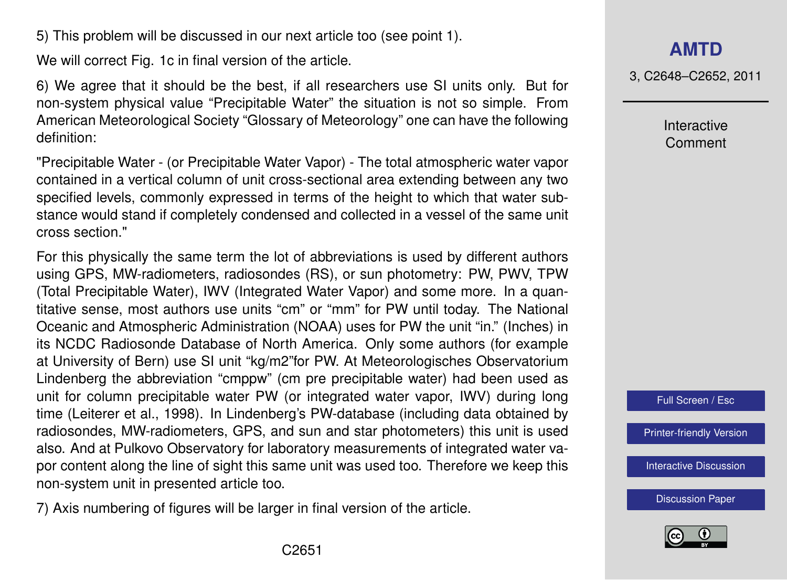5) This problem will be discussed in our next article too (see point 1).

We will correct Fig. 1c in final version of the article.

6) We agree that it should be the best, if all researchers use SI units only. But for non-system physical value "Precipitable Water" the situation is not so simple. From American Meteorological Society "Glossary of Meteorology" one can have the following definition:

"Precipitable Water - (or Precipitable Water Vapor) - The total atmospheric water vapor contained in a vertical column of unit cross-sectional area extending between any two specified levels, commonly expressed in terms of the height to which that water substance would stand if completely condensed and collected in a vessel of the same unit cross section."

For this physically the same term the lot of abbreviations is used by different authors using GPS, MW-radiometers, radiosondes (RS), or sun photometry: PW, PWV, TPW (Total Precipitable Water), IWV (Integrated Water Vapor) and some more. In a quantitative sense, most authors use units "cm" or "mm" for PW until today. The National Oceanic and Atmospheric Administration (NOAA) uses for PW the unit "in." (Inches) in its NCDC Radiosonde Database of North America. Only some authors (for example at University of Bern) use SI unit "kg/m2"for PW. At Meteorologisches Observatorium Lindenberg the abbreviation "cmppw" (cm pre precipitable water) had been used as unit for column precipitable water PW (or integrated water vapor, IWV) during long time (Leiterer et al., 1998). In Lindenberg's PW-database (including data obtained by radiosondes, MW-radiometers, GPS, and sun and star photometers) this unit is used also. And at Pulkovo Observatory for laboratory measurements of integrated water vapor content along the line of sight this same unit was used too. Therefore we keep this non-system unit in presented article too.

7) Axis numbering of figures will be larger in final version of the article.

3, C2648–C2652, 2011

Interactive Comment



[Printer-friendly Version](http://www.atmos-meas-tech-discuss.net/3/C2648/2011/amtd-3-C2648-2011-print.pdf)

[Interactive Discussion](http://www.atmos-meas-tech-discuss.net/3/5705/2010/amtd-3-5705-2010-discussion.html)